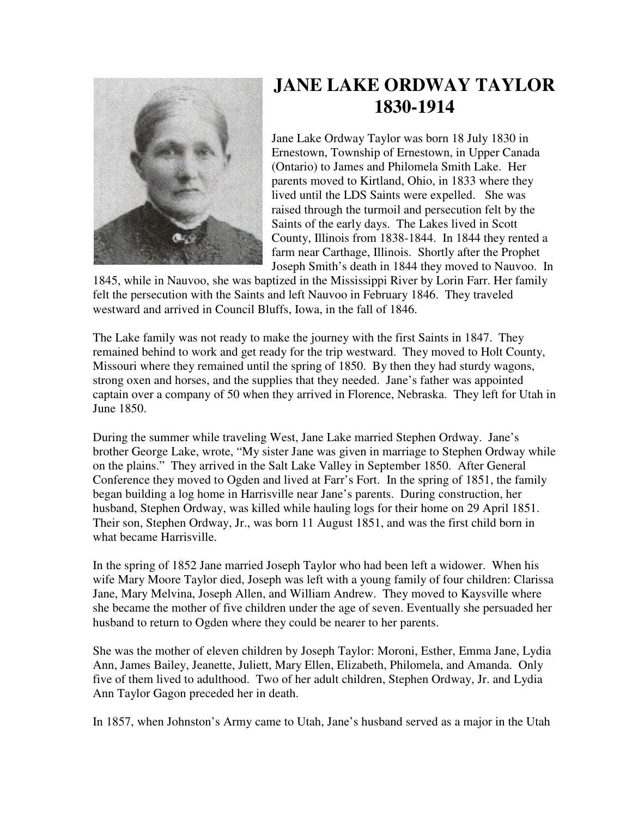

## **JANE LAKE ORDWAY TAYLOR 1830-1914**

Jane Lake Ordway Taylor was born 18 July 1830 in Ernestown, Township of Ernestown, in Upper Canada (Ontario) to James and Philomela Smith Lake. Her parents moved to Kirtland, Ohio, in 1833 where they lived until the LDS Saints were expelled. She was raised through the turmoil and persecution felt by the Saints of the early days. The Lakes lived in Scott County, Illinois from 1838-1844. In 1844 they rented a farm near Carthage, Illinois. Shortly after the Prophet Joseph Smith's death in 1844 they moved to Nauvoo. In

1845, while in Nauvoo, she was baptized in the Mississippi River by Lorin Farr. Her family felt the persecution with the Saints and left Nauvoo in February 1846. They traveled westward and arrived in Council Bluffs, Iowa, in the fall of 1846.

The Lake family was not ready to make the journey with the first Saints in 1847. They remained behind to work and get ready for the trip westward. They moved to Holt County, Missouri where they remained until the spring of 1850. By then they had sturdy wagons, strong oxen and horses, and the supplies that they needed. Jane's father was appointed captain over a company of 50 when they arrived in Florence, Nebraska. They left for Utah in June 1850.

During the summer while traveling West, Jane Lake married Stephen Ordway. Jane's brother George Lake, wrote, "My sister Jane was given in marriage to Stephen Ordway while on the plains." They arrived in the Salt Lake Valley in September 1850. After General Conference they moved to Ogden and lived at Farr's Fort. In the spring of 1851, the family began building a log home in Harrisville near Jane's parents. During construction, her husband, Stephen Ordway, was killed while hauling logs for their home on 29 April 1851. Their son, Stephen Ordway, Jr., was born 11 August 1851, and was the first child born in what became Harrisville.

In the spring of 1852 Jane married Joseph Taylor who had been left a widower. When his wife Mary Moore Taylor died, Joseph was left with a young family of four children: Clarissa Jane, Mary Melvina, Joseph Allen, and William Andrew. They moved to Kaysville where she became the mother of five children under the age of seven. Eventually she persuaded her husband to return to Ogden where they could be nearer to her parents.

She was the mother of eleven children by Joseph Taylor: Moroni, Esther, Emma Jane, Lydia Ann, James Bailey, Jeanette, Juliett, Mary Ellen, Elizabeth, Philomela, and Amanda. Only five of them lived to adulthood. Two of her adult children, Stephen Ordway, Jr. and Lydia Ann Taylor Gagon preceded her in death.

In 1857, when Johnston's Army came to Utah, Jane's husband served as a major in the Utah